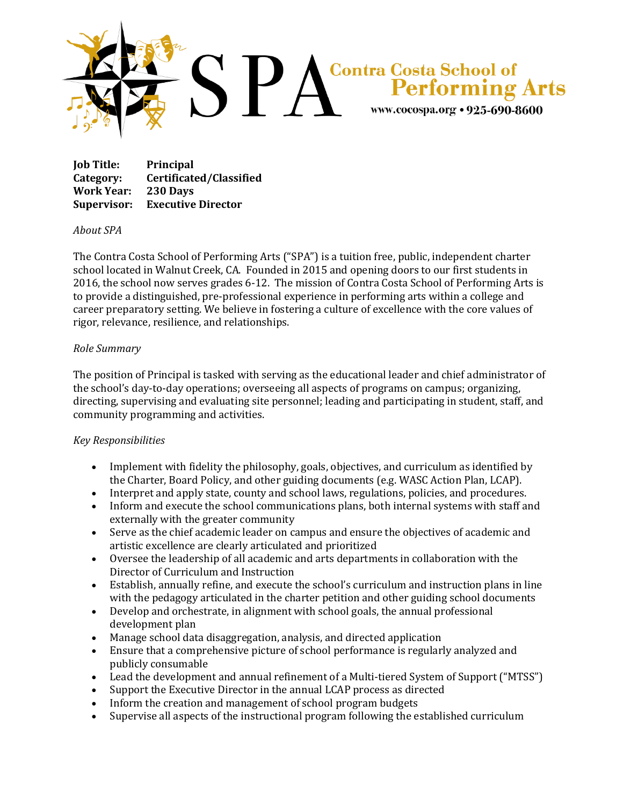

**Job Title: Principal Category: Certificated/Classified Work Year: 230 Days Supervisor: Executive Director**

## *About SPA*

The Contra Costa School of Performing Arts ("SPA") is a tuition free, public, independent charter school located in Walnut Creek, CA. Founded in 2015 and opening doors to our first students in 2016, the school now serves grades 6-12. The mission of Contra Costa School of Performing Arts is to provide a distinguished, pre-professional experience in performing arts within a college and career preparatory setting. We believe in fostering a culture of excellence with the core values of rigor, relevance, resilience, and relationships.

## *Role Summary*

The position of Principal is tasked with serving as the educational leader and chief administrator of the school's day-to-day operations; overseeing all aspects of programs on campus; organizing, directing, supervising and evaluating site personnel; leading and participating in student, staff, and community programming and activities.

## *Key Responsibilities*

- Implement with fidelity the philosophy, goals, objectives, and curriculum as identified by the Charter, Board Policy, and other guiding documents (e.g. WASC Action Plan, LCAP).
- Interpret and apply state, county and school laws, regulations, policies, and procedures.
- Inform and execute the school communications plans, both internal systems with staff and externally with the greater community
- Serve as the chief academic leader on campus and ensure the objectives of academic and artistic excellence are clearly articulated and prioritized
- Oversee the leadership of all academic and arts departments in collaboration with the Director of Curriculum and Instruction
- Establish, annually refine, and execute the school's curriculum and instruction plans in line with the pedagogy articulated in the charter petition and other guiding school documents
- Develop and orchestrate, in alignment with school goals, the annual professional development plan
- Manage school data disaggregation, analysis, and directed application
- Ensure that a comprehensive picture of school performance is regularly analyzed and publicly consumable
- Lead the development and annual refinement of a Multi-tiered System of Support ("MTSS")
- Support the Executive Director in the annual LCAP process as directed
- Inform the creation and management of school program budgets
- Supervise all aspects of the instructional program following the established curriculum